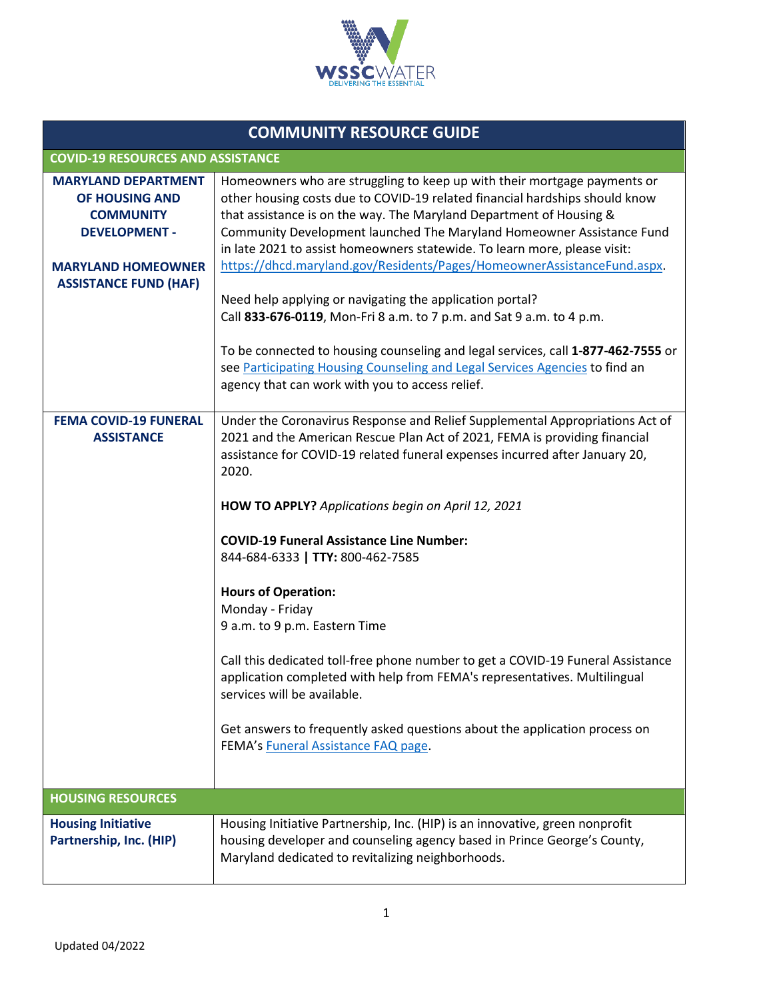

| <b>COMMUNITY RESOURCE GUIDE</b>                                                                                       |                                                                                                                                                                                                                                                                                                                                                                                                                                                                                                                                                                                                                                                                                                                                                                                                       |  |  |
|-----------------------------------------------------------------------------------------------------------------------|-------------------------------------------------------------------------------------------------------------------------------------------------------------------------------------------------------------------------------------------------------------------------------------------------------------------------------------------------------------------------------------------------------------------------------------------------------------------------------------------------------------------------------------------------------------------------------------------------------------------------------------------------------------------------------------------------------------------------------------------------------------------------------------------------------|--|--|
|                                                                                                                       | <b>COVID-19 RESOURCES AND ASSISTANCE</b>                                                                                                                                                                                                                                                                                                                                                                                                                                                                                                                                                                                                                                                                                                                                                              |  |  |
| <b>MARYLAND DEPARTMENT</b><br>OF HOUSING AND<br><b>COMMUNITY</b><br><b>DEVELOPMENT -</b><br><b>MARYLAND HOMEOWNER</b> | Homeowners who are struggling to keep up with their mortgage payments or<br>other housing costs due to COVID-19 related financial hardships should know<br>that assistance is on the way. The Maryland Department of Housing &<br>Community Development launched The Maryland Homeowner Assistance Fund<br>in late 2021 to assist homeowners statewide. To learn more, please visit:<br>https://dhcd.maryland.gov/Residents/Pages/HomeownerAssistanceFund.aspx.                                                                                                                                                                                                                                                                                                                                       |  |  |
| <b>ASSISTANCE FUND (HAF)</b>                                                                                          | Need help applying or navigating the application portal?<br>Call 833-676-0119, Mon-Fri 8 a.m. to 7 p.m. and Sat 9 a.m. to 4 p.m.<br>To be connected to housing counseling and legal services, call 1-877-462-7555 or<br>see Participating Housing Counseling and Legal Services Agencies to find an<br>agency that can work with you to access relief.                                                                                                                                                                                                                                                                                                                                                                                                                                                |  |  |
| <b>FEMA COVID-19 FUNERAL</b><br><b>ASSISTANCE</b>                                                                     | Under the Coronavirus Response and Relief Supplemental Appropriations Act of<br>2021 and the American Rescue Plan Act of 2021, FEMA is providing financial<br>assistance for COVID-19 related funeral expenses incurred after January 20,<br>2020.<br>HOW TO APPLY? Applications begin on April 12, 2021<br><b>COVID-19 Funeral Assistance Line Number:</b><br>844-684-6333   TTY: 800-462-7585<br><b>Hours of Operation:</b><br>Monday - Friday<br>9 a.m. to 9 p.m. Eastern Time<br>Call this dedicated toll-free phone number to get a COVID-19 Funeral Assistance<br>application completed with help from FEMA's representatives. Multilingual<br>services will be available.<br>Get answers to frequently asked questions about the application process on<br>FEMA's Funeral Assistance FAQ page. |  |  |
| <b>HOUSING RESOURCES</b>                                                                                              |                                                                                                                                                                                                                                                                                                                                                                                                                                                                                                                                                                                                                                                                                                                                                                                                       |  |  |
| <b>Housing Initiative</b><br>Partnership, Inc. (HIP)                                                                  | Housing Initiative Partnership, Inc. (HIP) is an innovative, green nonprofit<br>housing developer and counseling agency based in Prince George's County,<br>Maryland dedicated to revitalizing neighborhoods.                                                                                                                                                                                                                                                                                                                                                                                                                                                                                                                                                                                         |  |  |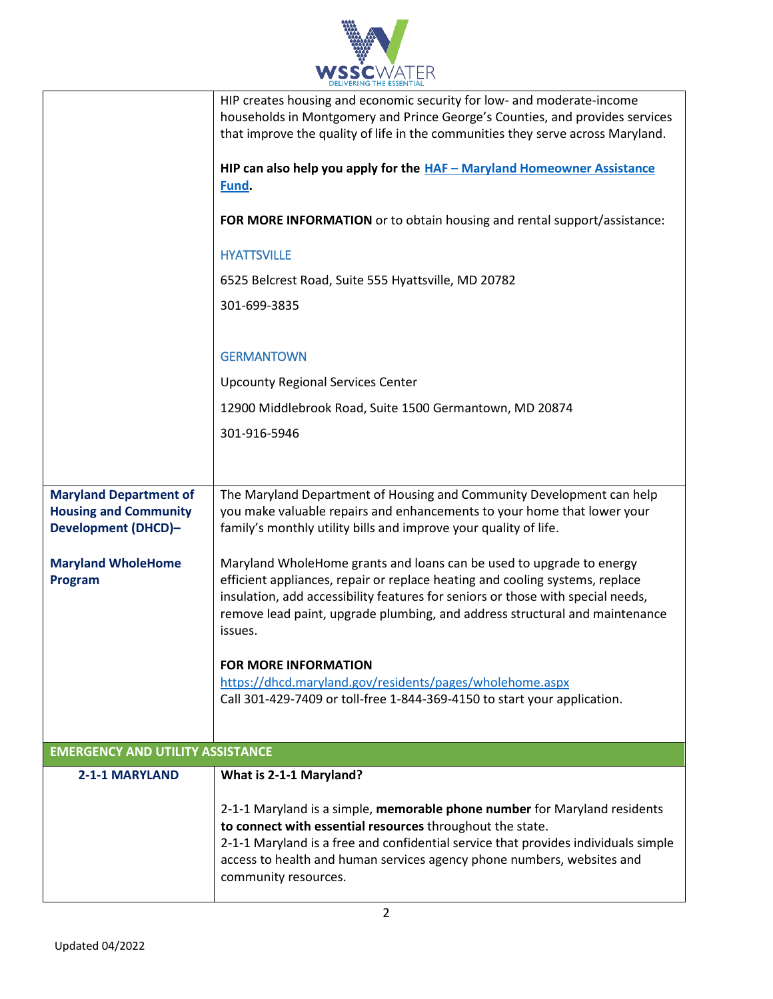

|                                                                                             | HIP creates housing and economic security for low- and moderate-income<br>households in Montgomery and Prince George's Counties, and provides services<br>that improve the quality of life in the communities they serve across Maryland.                                                                                         |  |
|---------------------------------------------------------------------------------------------|-----------------------------------------------------------------------------------------------------------------------------------------------------------------------------------------------------------------------------------------------------------------------------------------------------------------------------------|--|
|                                                                                             | HIP can also help you apply for the HAF - Maryland Homeowner Assistance<br>Fund.                                                                                                                                                                                                                                                  |  |
|                                                                                             | FOR MORE INFORMATION or to obtain housing and rental support/assistance:                                                                                                                                                                                                                                                          |  |
|                                                                                             | <b>HYATTSVILLE</b>                                                                                                                                                                                                                                                                                                                |  |
|                                                                                             | 6525 Belcrest Road, Suite 555 Hyattsville, MD 20782                                                                                                                                                                                                                                                                               |  |
|                                                                                             | 301-699-3835                                                                                                                                                                                                                                                                                                                      |  |
|                                                                                             | <b>GERMANTOWN</b>                                                                                                                                                                                                                                                                                                                 |  |
|                                                                                             | <b>Upcounty Regional Services Center</b>                                                                                                                                                                                                                                                                                          |  |
|                                                                                             | 12900 Middlebrook Road, Suite 1500 Germantown, MD 20874                                                                                                                                                                                                                                                                           |  |
|                                                                                             | 301-916-5946                                                                                                                                                                                                                                                                                                                      |  |
|                                                                                             |                                                                                                                                                                                                                                                                                                                                   |  |
|                                                                                             |                                                                                                                                                                                                                                                                                                                                   |  |
| <b>Maryland Department of</b><br><b>Housing and Community</b><br><b>Development (DHCD)-</b> | The Maryland Department of Housing and Community Development can help<br>you make valuable repairs and enhancements to your home that lower your<br>family's monthly utility bills and improve your quality of life.                                                                                                              |  |
| <b>Maryland WholeHome</b><br>Program                                                        | Maryland WholeHome grants and loans can be used to upgrade to energy<br>efficient appliances, repair or replace heating and cooling systems, replace<br>insulation, add accessibility features for seniors or those with special needs,<br>remove lead paint, upgrade plumbing, and address structural and maintenance<br>issues. |  |
|                                                                                             | <b>FOR MORE INFORMATION</b>                                                                                                                                                                                                                                                                                                       |  |
|                                                                                             | https://dhcd.maryland.gov/residents/pages/wholehome.aspx<br>Call 301-429-7409 or toll-free 1-844-369-4150 to start your application.                                                                                                                                                                                              |  |
|                                                                                             |                                                                                                                                                                                                                                                                                                                                   |  |
| <b>EMERGENCY AND UTILITY ASSISTANCE</b>                                                     |                                                                                                                                                                                                                                                                                                                                   |  |
| 2-1-1 MARYLAND                                                                              | What is 2-1-1 Maryland?                                                                                                                                                                                                                                                                                                           |  |
|                                                                                             | 2-1-1 Maryland is a simple, memorable phone number for Maryland residents<br>to connect with essential resources throughout the state.<br>2-1-1 Maryland is a free and confidential service that provides individuals simple<br>access to health and human services agency phone numbers, websites and<br>community resources.    |  |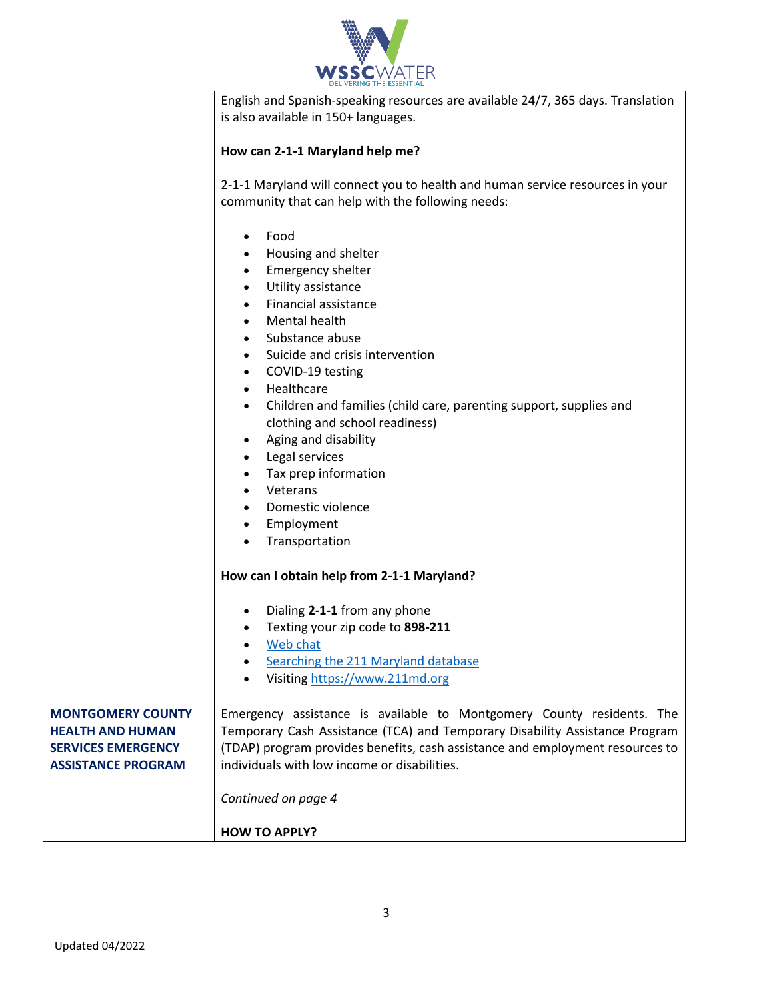

|                                                                                                               | English and Spanish-speaking resources are available 24/7, 365 days. Translation<br>is also available in 150+ languages.                                                                                                                                                                                                                                                   |
|---------------------------------------------------------------------------------------------------------------|----------------------------------------------------------------------------------------------------------------------------------------------------------------------------------------------------------------------------------------------------------------------------------------------------------------------------------------------------------------------------|
|                                                                                                               | How can 2-1-1 Maryland help me?                                                                                                                                                                                                                                                                                                                                            |
|                                                                                                               | 2-1-1 Maryland will connect you to health and human service resources in your<br>community that can help with the following needs:                                                                                                                                                                                                                                         |
|                                                                                                               | Food<br>Housing and shelter<br><b>Emergency shelter</b><br>Utility assistance<br>Financial assistance<br>Mental health<br>Substance abuse<br>$\bullet$<br>Suicide and crisis intervention<br>$\bullet$<br>COVID-19 testing<br>$\bullet$<br>Healthcare<br>$\bullet$<br>Children and families (child care, parenting support, supplies and<br>clothing and school readiness) |
|                                                                                                               | Aging and disability<br>Legal services<br>Tax prep information<br>Veterans<br>Domestic violence<br>Employment<br>Transportation                                                                                                                                                                                                                                            |
|                                                                                                               | How can I obtain help from 2-1-1 Maryland?                                                                                                                                                                                                                                                                                                                                 |
|                                                                                                               | Dialing 2-1-1 from any phone<br>Texting your zip code to 898-211<br>Web chat<br>Searching the 211 Maryland database<br>Visiting https://www.211md.org                                                                                                                                                                                                                      |
| <b>MONTGOMERY COUNTY</b><br><b>HEALTH AND HUMAN</b><br><b>SERVICES EMERGENCY</b><br><b>ASSISTANCE PROGRAM</b> | Emergency assistance is available to Montgomery County residents. The<br>Temporary Cash Assistance (TCA) and Temporary Disability Assistance Program<br>(TDAP) program provides benefits, cash assistance and employment resources to<br>individuals with low income or disabilities.                                                                                      |
|                                                                                                               | Continued on page 4                                                                                                                                                                                                                                                                                                                                                        |
|                                                                                                               | <b>HOW TO APPLY?</b>                                                                                                                                                                                                                                                                                                                                                       |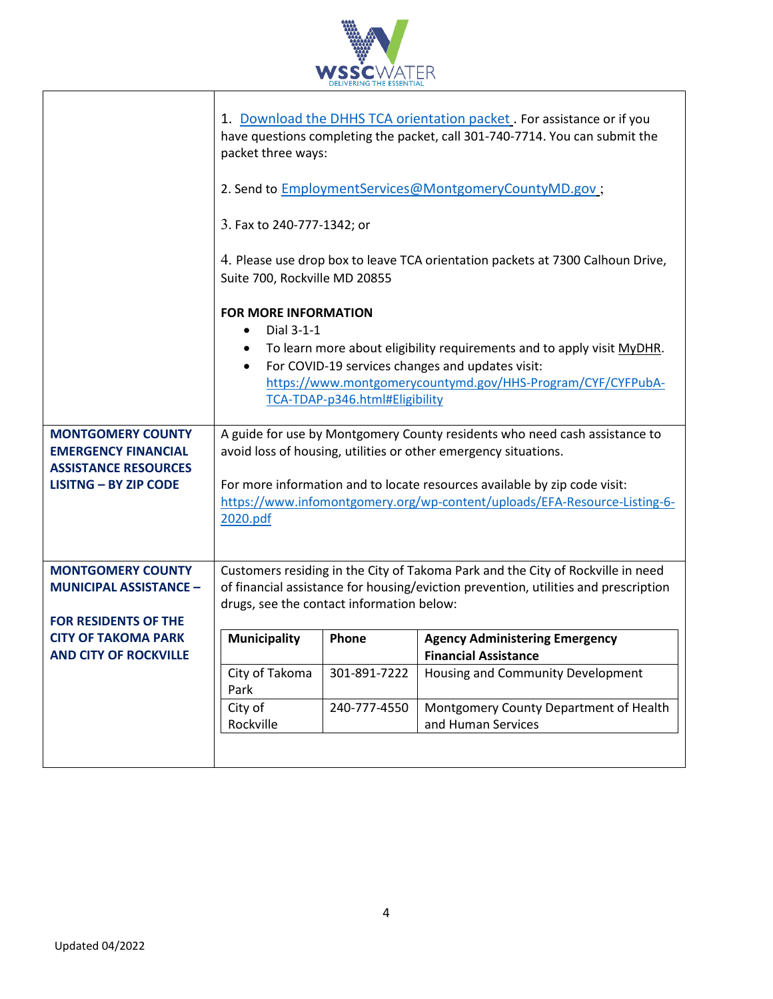

|                                                                                          | packet three ways:<br>3. Fax to 240-777-1342; or       |                                | 1. Download the DHHS TCA orientation packet. For assistance or if you<br>have questions completing the packet, call 301-740-7714. You can submit the<br>2. Send to EmploymentServices@MontgomeryCountyMD.gov ; |
|------------------------------------------------------------------------------------------|--------------------------------------------------------|--------------------------------|----------------------------------------------------------------------------------------------------------------------------------------------------------------------------------------------------------------|
|                                                                                          | Suite 700, Rockville MD 20855                          |                                | 4. Please use drop box to leave TCA orientation packets at 7300 Calhoun Drive,                                                                                                                                 |
|                                                                                          | <b>FOR MORE INFORMATION</b><br>Dial 3-1-1<br>$\bullet$ |                                | To learn more about eligibility requirements and to apply visit MyDHR.                                                                                                                                         |
|                                                                                          | $\bullet$                                              | TCA-TDAP-p346.html#Eligibility | For COVID-19 services changes and updates visit:<br>https://www.montgomerycountymd.gov/HHS-Program/CYF/CYFPubA-                                                                                                |
| <b>MONTGOMERY COUNTY</b><br><b>EMERGENCY FINANCIAL</b><br><b>ASSISTANCE RESOURCES</b>    |                                                        |                                | A guide for use by Montgomery County residents who need cash assistance to<br>avoid loss of housing, utilities or other emergency situations.                                                                  |
| <b>LISITNG - BY ZIP CODE</b>                                                             | 2020.pdf                                               |                                | For more information and to locate resources available by zip code visit:<br>https://www.infomontgomery.org/wp-content/uploads/EFA-Resource-Listing-6-                                                         |
| <b>MONTGOMERY COUNTY</b><br><b>MUNICIPAL ASSISTANCE -</b><br><b>FOR RESIDENTS OF THE</b> | drugs, see the contact information below:              |                                | Customers residing in the City of Takoma Park and the City of Rockville in need<br>of financial assistance for housing/eviction prevention, utilities and prescription                                         |
| <b>CITY OF TAKOMA PARK</b><br><b>AND CITY OF ROCKVILLE</b>                               | <b>Municipality</b>                                    | <b>Phone</b>                   | <b>Agency Administering Emergency</b><br><b>Financial Assistance</b>                                                                                                                                           |
|                                                                                          | City of Takoma<br>Park                                 | 301-891-7222                   | Housing and Community Development                                                                                                                                                                              |
|                                                                                          | City of<br>Rockville                                   | 240-777-4550                   | Montgomery County Department of Health<br>and Human Services                                                                                                                                                   |
|                                                                                          |                                                        |                                |                                                                                                                                                                                                                |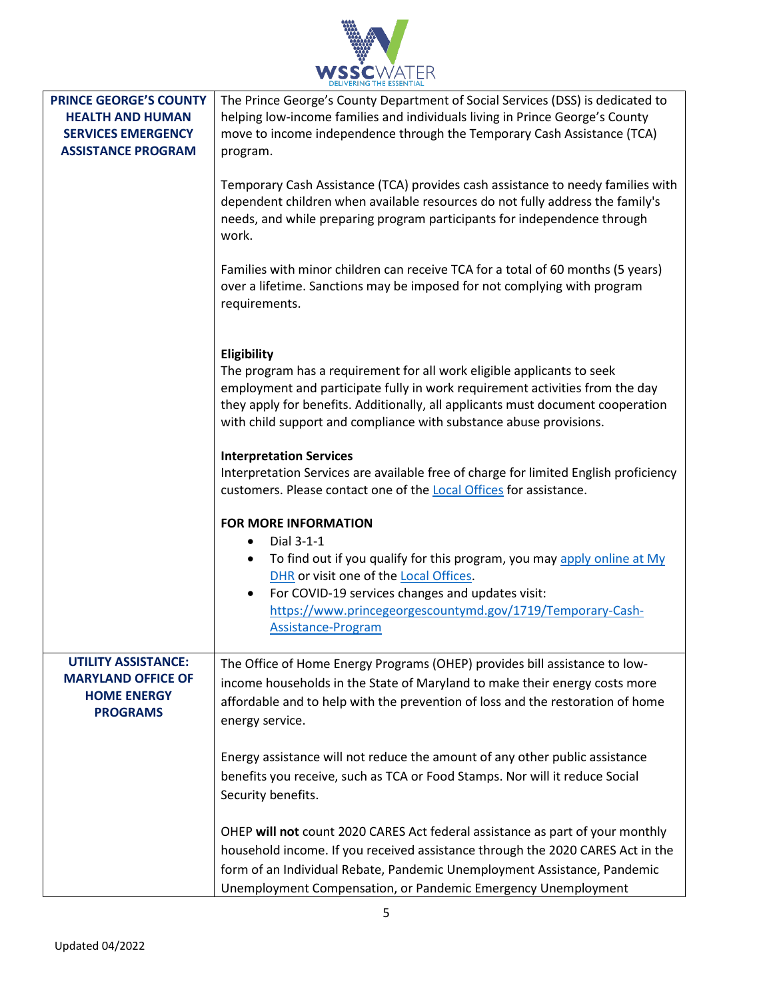| WATER<br><b>YSSC</b><br><b>DELIVERING THE ESSENTIAL</b> |
|---------------------------------------------------------|

| <b>PRINCE GEORGE'S COUNTY</b><br><b>HEALTH AND HUMAN</b><br><b>SERVICES EMERGENCY</b><br><b>ASSISTANCE PROGRAM</b> | The Prince George's County Department of Social Services (DSS) is dedicated to<br>helping low-income families and individuals living in Prince George's County<br>move to income independence through the Temporary Cash Assistance (TCA)<br>program.<br>Temporary Cash Assistance (TCA) provides cash assistance to needy families with<br>dependent children when available resources do not fully address the family's<br>needs, and while preparing program participants for independence through<br>work.<br>Families with minor children can receive TCA for a total of 60 months (5 years)<br>over a lifetime. Sanctions may be imposed for not complying with program<br>requirements. |
|--------------------------------------------------------------------------------------------------------------------|------------------------------------------------------------------------------------------------------------------------------------------------------------------------------------------------------------------------------------------------------------------------------------------------------------------------------------------------------------------------------------------------------------------------------------------------------------------------------------------------------------------------------------------------------------------------------------------------------------------------------------------------------------------------------------------------|
|                                                                                                                    | Eligibility<br>The program has a requirement for all work eligible applicants to seek<br>employment and participate fully in work requirement activities from the day<br>they apply for benefits. Additionally, all applicants must document cooperation<br>with child support and compliance with substance abuse provisions.<br><b>Interpretation Services</b><br>Interpretation Services are available free of charge for limited English proficiency<br>customers. Please contact one of the <b>Local Offices</b> for assistance.                                                                                                                                                          |
|                                                                                                                    | <b>FOR MORE INFORMATION</b><br>Dial 3-1-1<br>$\bullet$<br>To find out if you qualify for this program, you may apply online at My<br>DHR or visit one of the Local Offices.<br>For COVID-19 services changes and updates visit:<br>٠<br>https://www.princegeorgescountymd.gov/1719/Temporary-Cash-<br><b>Assistance-Program</b>                                                                                                                                                                                                                                                                                                                                                                |
| <b>UTILITY ASSISTANCE:</b><br><b>MARYLAND OFFICE OF</b><br><b>HOME ENERGY</b><br><b>PROGRAMS</b>                   | The Office of Home Energy Programs (OHEP) provides bill assistance to low-<br>income households in the State of Maryland to make their energy costs more<br>affordable and to help with the prevention of loss and the restoration of home<br>energy service.                                                                                                                                                                                                                                                                                                                                                                                                                                  |
|                                                                                                                    | Energy assistance will not reduce the amount of any other public assistance<br>benefits you receive, such as TCA or Food Stamps. Nor will it reduce Social<br>Security benefits.                                                                                                                                                                                                                                                                                                                                                                                                                                                                                                               |
|                                                                                                                    | OHEP will not count 2020 CARES Act federal assistance as part of your monthly<br>household income. If you received assistance through the 2020 CARES Act in the<br>form of an Individual Rebate, Pandemic Unemployment Assistance, Pandemic<br>Unemployment Compensation, or Pandemic Emergency Unemployment                                                                                                                                                                                                                                                                                                                                                                                   |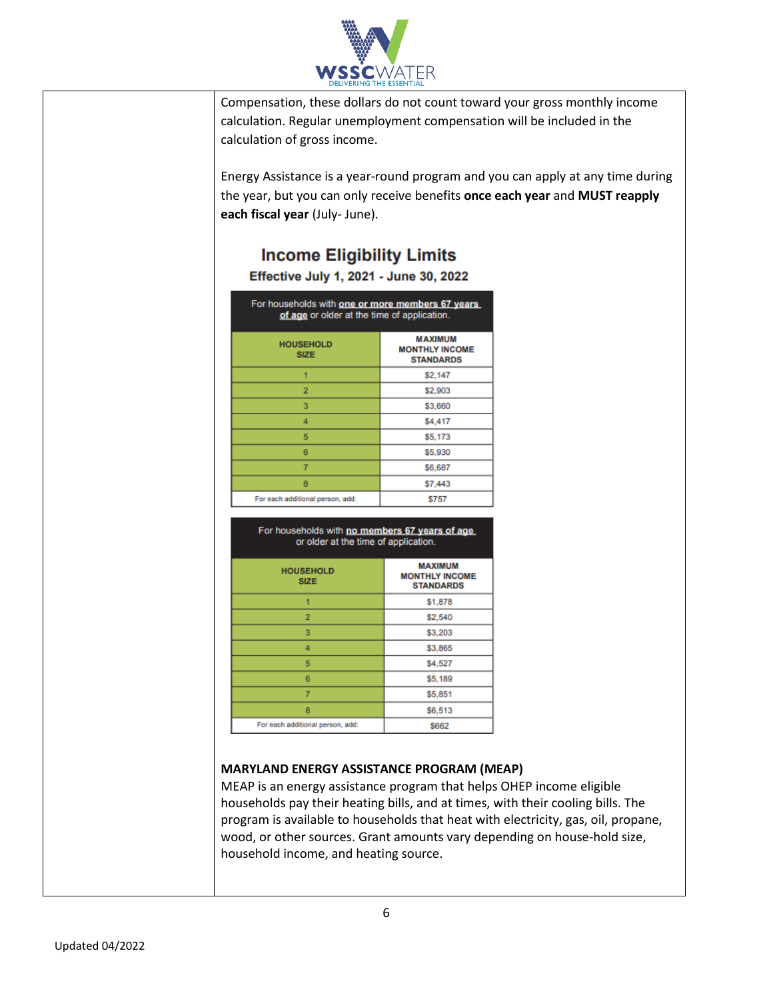

Compensation, these dollars do not count toward your gross monthly income calculation. Regular unemployment compensation will be included in the calculation of gross income.

Energy Assistance is a year-round program and you can apply at any time during the year, but you can only receive benefits **once each year** and **MUST reapply each fiscal year** (July- June).

## **Income Eligibility Limits**

## Effective July 1, 2021 - June 30, 2022

| For households with one or more members 67 years<br>of age or older at the time of application. |                                                             |
|-------------------------------------------------------------------------------------------------|-------------------------------------------------------------|
| <b>HOUSEHOLD</b><br><b>SIZE</b>                                                                 | <b>MAXIMUM</b><br><b>MONTHLY INCOME</b><br><b>STANDARDS</b> |
|                                                                                                 | \$2,147                                                     |
| 2                                                                                               | \$2,903                                                     |
| 3                                                                                               | \$3,660                                                     |
| 4                                                                                               | \$4,417                                                     |
| 5                                                                                               | \$5,173                                                     |
| ß                                                                                               | \$5,930                                                     |
| 7                                                                                               | \$6,687                                                     |
| 8                                                                                               | \$7,443                                                     |
| For each additional person, add:                                                                | \$757                                                       |

## For households with no members 67 years of age or older at the time of application.

| <b>HOUSEHOLD</b><br><b>SIZE</b>  | <b>MAXIMUM</b><br><b>MONTHLY INCOME</b><br><b>STANDARDS</b> |
|----------------------------------|-------------------------------------------------------------|
| 1                                | \$1,878                                                     |
| $\overline{2}$                   | \$2,540                                                     |
| 3                                | \$3,203                                                     |
| 4                                | \$3,865                                                     |
| 5                                | \$4,527                                                     |
| 6                                | \$5,189                                                     |
| 7                                | \$5,851                                                     |
| 8                                | \$6,513                                                     |
| For each additional person, add: | <b>S662</b>                                                 |

## **MARYLAND ENERGY ASSISTANCE PROGRAM (MEAP)**

MEAP is an energy assistance program that helps OHEP income eligible households pay their heating bills, and at times, with their cooling bills. The program is available to households that heat with electricity, gas, oil, propane, wood, or other sources. Grant amounts vary depending on house-hold size, household income, and heating source.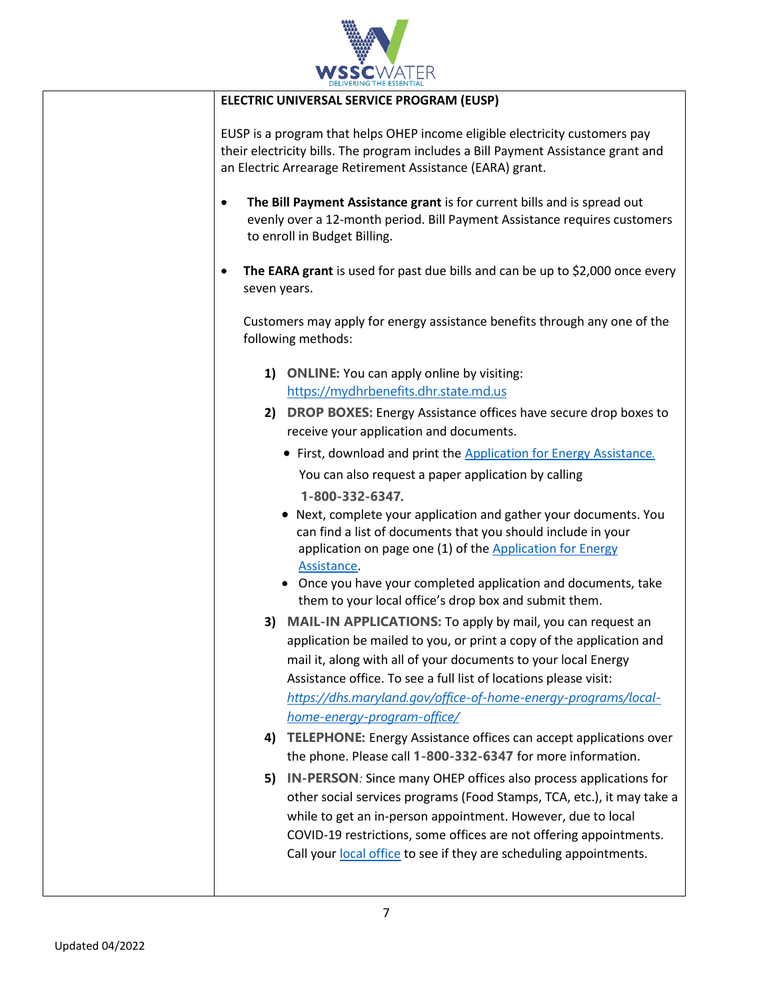

|                                                                                                            | DELIVERING THE ESSENTIAL                                                                                                                                                                                                                                                                                  |
|------------------------------------------------------------------------------------------------------------|-----------------------------------------------------------------------------------------------------------------------------------------------------------------------------------------------------------------------------------------------------------------------------------------------------------|
|                                                                                                            | ELECTRIC UNIVERSAL SERVICE PROGRAM (EUSP)                                                                                                                                                                                                                                                                 |
| $\bullet$                                                                                                  | EUSP is a program that helps OHEP income eligible electricity customers pay<br>their electricity bills. The program includes a Bill Payment Assistance grant and<br>an Electric Arrearage Retirement Assistance (EARA) grant.<br>The Bill Payment Assistance grant is for current bills and is spread out |
|                                                                                                            | evenly over a 12-month period. Bill Payment Assistance requires customers<br>to enroll in Budget Billing.                                                                                                                                                                                                 |
| The EARA grant is used for past due bills and can be up to \$2,000 once every<br>$\bullet$<br>seven years. |                                                                                                                                                                                                                                                                                                           |
|                                                                                                            | Customers may apply for energy assistance benefits through any one of the<br>following methods:                                                                                                                                                                                                           |
|                                                                                                            | 1) ONLINE: You can apply online by visiting:                                                                                                                                                                                                                                                              |
|                                                                                                            | https://mydhrbenefits.dhr.state.md.us                                                                                                                                                                                                                                                                     |
|                                                                                                            | 2) DROP BOXES: Energy Assistance offices have secure drop boxes to                                                                                                                                                                                                                                        |
|                                                                                                            | receive your application and documents.                                                                                                                                                                                                                                                                   |
|                                                                                                            | • First, download and print the Application for Energy Assistance.                                                                                                                                                                                                                                        |
|                                                                                                            | You can also request a paper application by calling                                                                                                                                                                                                                                                       |
|                                                                                                            | 1-800-332-6347.                                                                                                                                                                                                                                                                                           |
|                                                                                                            | • Next, complete your application and gather your documents. You<br>can find a list of documents that you should include in your<br>application on page one (1) of the Application for Energy<br>Assistance.                                                                                              |
|                                                                                                            | • Once you have your completed application and documents, take<br>them to your local office's drop box and submit them.                                                                                                                                                                                   |
| 3)                                                                                                         | <b>MAIL-IN APPLICATIONS:</b> To apply by mail, you can request an                                                                                                                                                                                                                                         |
|                                                                                                            | application be mailed to you, or print a copy of the application and                                                                                                                                                                                                                                      |
|                                                                                                            | mail it, along with all of your documents to your local Energy                                                                                                                                                                                                                                            |
|                                                                                                            | Assistance office. To see a full list of locations please visit:                                                                                                                                                                                                                                          |
|                                                                                                            | https://dhs.maryland.gov/office-of-home-energy-programs/local-                                                                                                                                                                                                                                            |
|                                                                                                            | home-energy-program-office/                                                                                                                                                                                                                                                                               |
| 4)                                                                                                         | <b>TELEPHONE:</b> Energy Assistance offices can accept applications over<br>the phone. Please call 1-800-332-6347 for more information.                                                                                                                                                                   |
| 5)                                                                                                         | IN-PERSON: Since many OHEP offices also process applications for                                                                                                                                                                                                                                          |
|                                                                                                            | other social services programs (Food Stamps, TCA, etc.), it may take a                                                                                                                                                                                                                                    |
|                                                                                                            | while to get an in-person appointment. However, due to local                                                                                                                                                                                                                                              |
|                                                                                                            | COVID-19 restrictions, some offices are not offering appointments.                                                                                                                                                                                                                                        |
|                                                                                                            | Call your local office to see if they are scheduling appointments.                                                                                                                                                                                                                                        |
|                                                                                                            |                                                                                                                                                                                                                                                                                                           |
|                                                                                                            |                                                                                                                                                                                                                                                                                                           |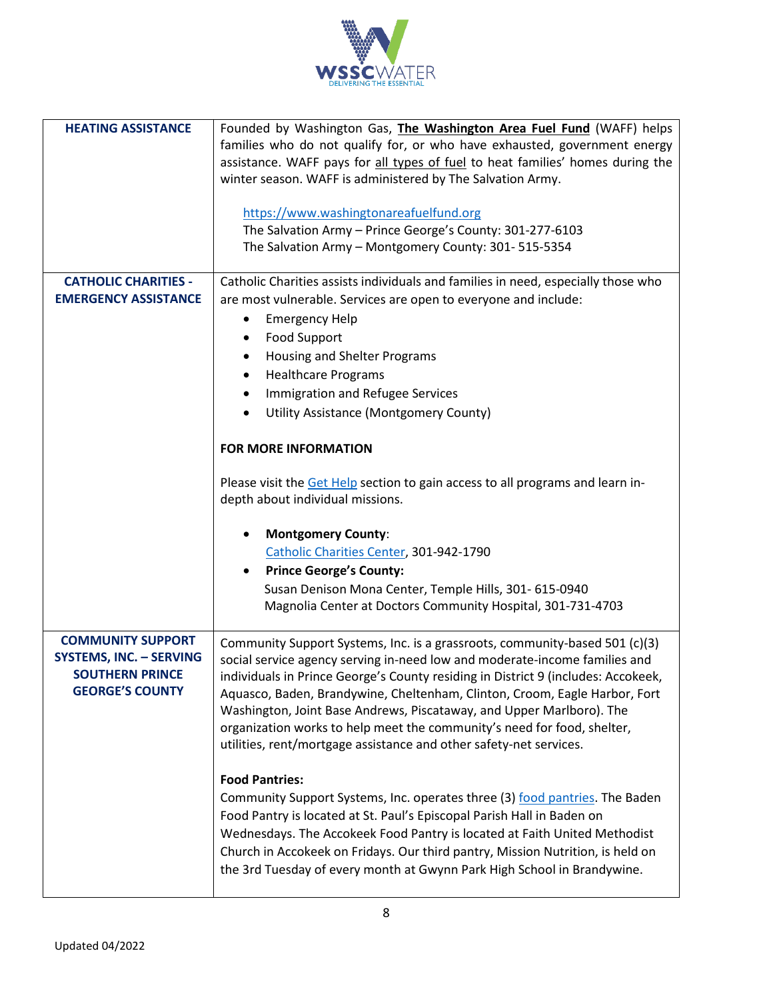

| <b>HEATING ASSISTANCE</b>                                                                                      | Founded by Washington Gas, The Washington Area Fuel Fund (WAFF) helps<br>families who do not qualify for, or who have exhausted, government energy<br>assistance. WAFF pays for all types of fuel to heat families' homes during the<br>winter season. WAFF is administered by The Salvation Army.<br>https://www.washingtonareafuelfund.org<br>The Salvation Army - Prince George's County: 301-277-6103<br>The Salvation Army - Montgomery County: 301-515-5354                                                                                                                                                                                                                                                                                                                                                                                                                                                                                                                 |  |
|----------------------------------------------------------------------------------------------------------------|-----------------------------------------------------------------------------------------------------------------------------------------------------------------------------------------------------------------------------------------------------------------------------------------------------------------------------------------------------------------------------------------------------------------------------------------------------------------------------------------------------------------------------------------------------------------------------------------------------------------------------------------------------------------------------------------------------------------------------------------------------------------------------------------------------------------------------------------------------------------------------------------------------------------------------------------------------------------------------------|--|
| <b>CATHOLIC CHARITIES -</b><br><b>EMERGENCY ASSISTANCE</b>                                                     | Catholic Charities assists individuals and families in need, especially those who<br>are most vulnerable. Services are open to everyone and include:<br><b>Emergency Help</b><br><b>Food Support</b><br>Housing and Shelter Programs<br>$\bullet$<br><b>Healthcare Programs</b><br>٠<br>Immigration and Refugee Services<br>$\bullet$<br>Utility Assistance (Montgomery County)<br><b>FOR MORE INFORMATION</b><br>Please visit the Get Help section to gain access to all programs and learn in-<br>depth about individual missions.                                                                                                                                                                                                                                                                                                                                                                                                                                              |  |
|                                                                                                                | <b>Montgomery County:</b><br>Catholic Charities Center, 301-942-1790<br><b>Prince George's County:</b><br>Susan Denison Mona Center, Temple Hills, 301- 615-0940<br>Magnolia Center at Doctors Community Hospital, 301-731-4703                                                                                                                                                                                                                                                                                                                                                                                                                                                                                                                                                                                                                                                                                                                                                   |  |
| <b>COMMUNITY SUPPORT</b><br><b>SYSTEMS, INC. - SERVING</b><br><b>SOUTHERN PRINCE</b><br><b>GEORGE'S COUNTY</b> | Community Support Systems, Inc. is a grassroots, community-based 501 (c)(3)<br>social service agency serving in-need low and moderate-income families and<br>individuals in Prince George's County residing in District 9 (includes: Accokeek,<br>Aquasco, Baden, Brandywine, Cheltenham, Clinton, Croom, Eagle Harbor, Fort<br>Washington, Joint Base Andrews, Piscataway, and Upper Marlboro). The<br>organization works to help meet the community's need for food, shelter,<br>utilities, rent/mortgage assistance and other safety-net services.<br><b>Food Pantries:</b><br>Community Support Systems, Inc. operates three (3) food pantries. The Baden<br>Food Pantry is located at St. Paul's Episcopal Parish Hall in Baden on<br>Wednesdays. The Accokeek Food Pantry is located at Faith United Methodist<br>Church in Accokeek on Fridays. Our third pantry, Mission Nutrition, is held on<br>the 3rd Tuesday of every month at Gwynn Park High School in Brandywine. |  |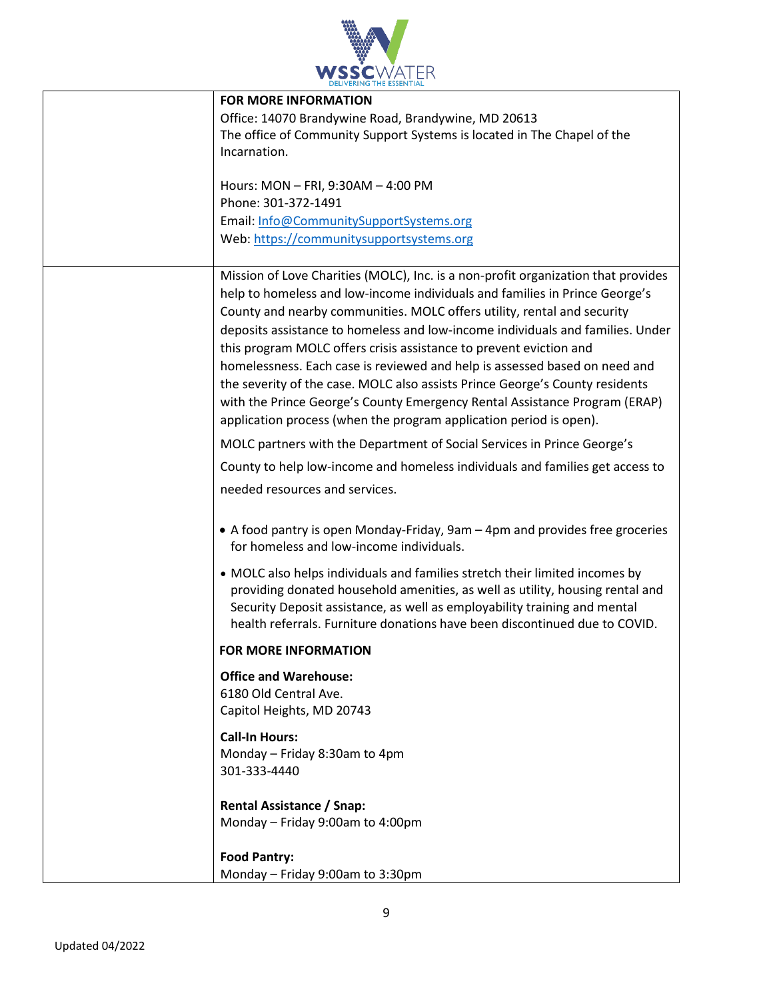

| <b>FOR MORE INFORMATION</b>                                                                                                                                                                                                                                                                                             |
|-------------------------------------------------------------------------------------------------------------------------------------------------------------------------------------------------------------------------------------------------------------------------------------------------------------------------|
| Office: 14070 Brandywine Road, Brandywine, MD 20613                                                                                                                                                                                                                                                                     |
| The office of Community Support Systems is located in The Chapel of the                                                                                                                                                                                                                                                 |
| Incarnation.                                                                                                                                                                                                                                                                                                            |
|                                                                                                                                                                                                                                                                                                                         |
| Hours: MON - FRI, 9:30AM - 4:00 PM<br>Phone: 301-372-1491                                                                                                                                                                                                                                                               |
|                                                                                                                                                                                                                                                                                                                         |
| Email: Info@CommunitySupportSystems.org                                                                                                                                                                                                                                                                                 |
| Web: https://communitysupportsystems.org                                                                                                                                                                                                                                                                                |
| Mission of Love Charities (MOLC), Inc. is a non-profit organization that provides                                                                                                                                                                                                                                       |
| help to homeless and low-income individuals and families in Prince George's                                                                                                                                                                                                                                             |
| County and nearby communities. MOLC offers utility, rental and security                                                                                                                                                                                                                                                 |
| deposits assistance to homeless and low-income individuals and families. Under                                                                                                                                                                                                                                          |
| this program MOLC offers crisis assistance to prevent eviction and                                                                                                                                                                                                                                                      |
| homelessness. Each case is reviewed and help is assessed based on need and                                                                                                                                                                                                                                              |
| the severity of the case. MOLC also assists Prince George's County residents                                                                                                                                                                                                                                            |
| with the Prince George's County Emergency Rental Assistance Program (ERAP)                                                                                                                                                                                                                                              |
|                                                                                                                                                                                                                                                                                                                         |
| application process (when the program application period is open).                                                                                                                                                                                                                                                      |
| MOLC partners with the Department of Social Services in Prince George's                                                                                                                                                                                                                                                 |
| County to help low-income and homeless individuals and families get access to                                                                                                                                                                                                                                           |
| needed resources and services.                                                                                                                                                                                                                                                                                          |
| • A food pantry is open Monday-Friday, 9am – 4pm and provides free groceries<br>for homeless and low-income individuals.                                                                                                                                                                                                |
| • MOLC also helps individuals and families stretch their limited incomes by<br>providing donated household amenities, as well as utility, housing rental and<br>Security Deposit assistance, as well as employability training and mental<br>health referrals. Furniture donations have been discontinued due to COVID. |
| <b>FOR MORE INFORMATION</b>                                                                                                                                                                                                                                                                                             |
| <b>Office and Warehouse:</b>                                                                                                                                                                                                                                                                                            |
| 6180 Old Central Ave.                                                                                                                                                                                                                                                                                                   |
| Capitol Heights, MD 20743                                                                                                                                                                                                                                                                                               |
|                                                                                                                                                                                                                                                                                                                         |
| <b>Call-In Hours:</b>                                                                                                                                                                                                                                                                                                   |
| Monday - Friday 8:30am to 4pm                                                                                                                                                                                                                                                                                           |
| 301-333-4440                                                                                                                                                                                                                                                                                                            |
|                                                                                                                                                                                                                                                                                                                         |
| <b>Rental Assistance / Snap:</b><br>Monday - Friday 9:00am to 4:00pm                                                                                                                                                                                                                                                    |
|                                                                                                                                                                                                                                                                                                                         |
| <b>Food Pantry:</b>                                                                                                                                                                                                                                                                                                     |
| Monday - Friday 9:00am to 3:30pm                                                                                                                                                                                                                                                                                        |
|                                                                                                                                                                                                                                                                                                                         |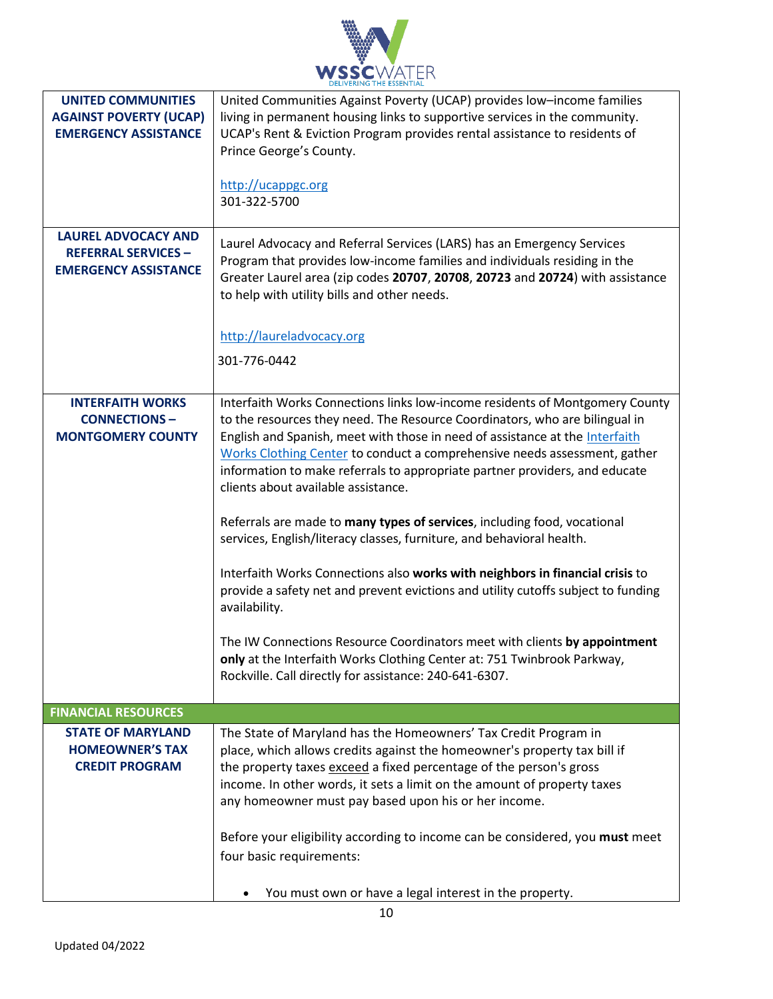

| <b>UNITED COMMUNITIES</b><br><b>AGAINST POVERTY (UCAP)</b><br><b>EMERGENCY ASSISTANCE</b><br><b>LAUREL ADVOCACY AND</b><br><b>REFERRAL SERVICES -</b><br><b>EMERGENCY ASSISTANCE</b> | United Communities Against Poverty (UCAP) provides low-income families<br>living in permanent housing links to supportive services in the community.<br>UCAP's Rent & Eviction Program provides rental assistance to residents of<br>Prince George's County.<br>http://ucappgc.org<br>301-322-5700<br>Laurel Advocacy and Referral Services (LARS) has an Emergency Services<br>Program that provides low-income families and individuals residing in the<br>Greater Laurel area (zip codes 20707, 20708, 20723 and 20724) with assistance<br>to help with utility bills and other needs.                                                                                                                                                                                                                                                                                                                                                                                                                    |
|--------------------------------------------------------------------------------------------------------------------------------------------------------------------------------------|--------------------------------------------------------------------------------------------------------------------------------------------------------------------------------------------------------------------------------------------------------------------------------------------------------------------------------------------------------------------------------------------------------------------------------------------------------------------------------------------------------------------------------------------------------------------------------------------------------------------------------------------------------------------------------------------------------------------------------------------------------------------------------------------------------------------------------------------------------------------------------------------------------------------------------------------------------------------------------------------------------------|
|                                                                                                                                                                                      | http://laureladvocacy.org<br>301-776-0442                                                                                                                                                                                                                                                                                                                                                                                                                                                                                                                                                                                                                                                                                                                                                                                                                                                                                                                                                                    |
| <b>INTERFAITH WORKS</b><br><b>CONNECTIONS-</b><br><b>MONTGOMERY COUNTY</b>                                                                                                           | Interfaith Works Connections links low-income residents of Montgomery County<br>to the resources they need. The Resource Coordinators, who are bilingual in<br>English and Spanish, meet with those in need of assistance at the Interfaith<br>Works Clothing Center to conduct a comprehensive needs assessment, gather<br>information to make referrals to appropriate partner providers, and educate<br>clients about available assistance.<br>Referrals are made to many types of services, including food, vocational<br>services, English/literacy classes, furniture, and behavioral health.<br>Interfaith Works Connections also works with neighbors in financial crisis to<br>provide a safety net and prevent evictions and utility cutoffs subject to funding<br>availability.<br>The IW Connections Resource Coordinators meet with clients by appointment<br>only at the Interfaith Works Clothing Center at: 751 Twinbrook Parkway,<br>Rockville. Call directly for assistance: 240-641-6307. |
| <b>FINANCIAL RESOURCES</b>                                                                                                                                                           |                                                                                                                                                                                                                                                                                                                                                                                                                                                                                                                                                                                                                                                                                                                                                                                                                                                                                                                                                                                                              |
| <b>STATE OF MARYLAND</b><br><b>HOMEOWNER'S TAX</b><br><b>CREDIT PROGRAM</b>                                                                                                          | The State of Maryland has the Homeowners' Tax Credit Program in<br>place, which allows credits against the homeowner's property tax bill if<br>the property taxes exceed a fixed percentage of the person's gross<br>income. In other words, it sets a limit on the amount of property taxes<br>any homeowner must pay based upon his or her income.<br>Before your eligibility according to income can be considered, you must meet<br>four basic requirements:<br>You must own or have a legal interest in the property.                                                                                                                                                                                                                                                                                                                                                                                                                                                                                   |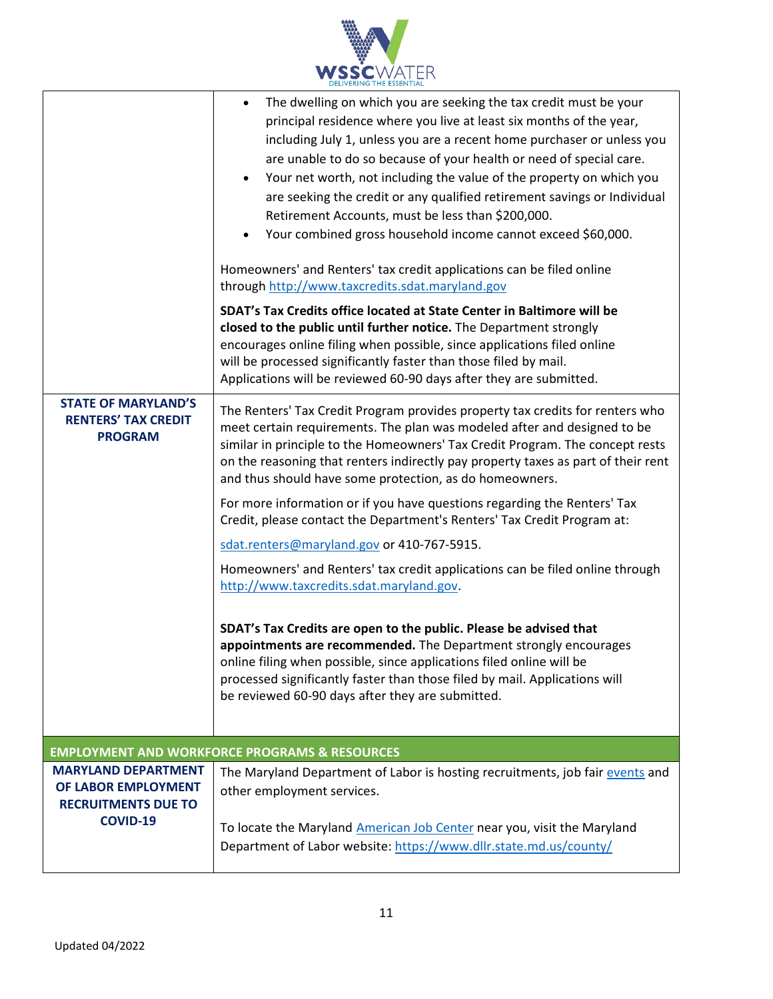

|                                                                                                    | The dwelling on which you are seeking the tax credit must be your<br>principal residence where you live at least six months of the year,<br>including July 1, unless you are a recent home purchaser or unless you<br>are unable to do so because of your health or need of special care.<br>Your net worth, not including the value of the property on which you<br>are seeking the credit or any qualified retirement savings or Individual<br>Retirement Accounts, must be less than \$200,000.<br>Your combined gross household income cannot exceed \$60,000.<br>Homeowners' and Renters' tax credit applications can be filed online<br>through http://www.taxcredits.sdat.maryland.gov<br>SDAT's Tax Credits office located at State Center in Baltimore will be<br>closed to the public until further notice. The Department strongly<br>encourages online filing when possible, since applications filed online<br>will be processed significantly faster than those filed by mail.<br>Applications will be reviewed 60-90 days after they are submitted.             |  |
|----------------------------------------------------------------------------------------------------|--------------------------------------------------------------------------------------------------------------------------------------------------------------------------------------------------------------------------------------------------------------------------------------------------------------------------------------------------------------------------------------------------------------------------------------------------------------------------------------------------------------------------------------------------------------------------------------------------------------------------------------------------------------------------------------------------------------------------------------------------------------------------------------------------------------------------------------------------------------------------------------------------------------------------------------------------------------------------------------------------------------------------------------------------------------------------------|--|
| <b>STATE OF MARYLAND'S</b><br><b>RENTERS' TAX CREDIT</b><br><b>PROGRAM</b>                         | The Renters' Tax Credit Program provides property tax credits for renters who<br>meet certain requirements. The plan was modeled after and designed to be<br>similar in principle to the Homeowners' Tax Credit Program. The concept rests<br>on the reasoning that renters indirectly pay property taxes as part of their rent<br>and thus should have some protection, as do homeowners.<br>For more information or if you have questions regarding the Renters' Tax<br>Credit, please contact the Department's Renters' Tax Credit Program at:<br>sdat.renters@maryland.gov or 410-767-5915.<br>Homeowners' and Renters' tax credit applications can be filed online through<br>http://www.taxcredits.sdat.maryland.gov.<br>SDAT's Tax Credits are open to the public. Please be advised that<br>appointments are recommended. The Department strongly encourages<br>online filing when possible, since applications filed online will be<br>processed significantly faster than those filed by mail. Applications will<br>be reviewed 60-90 days after they are submitted. |  |
| <b>EMPLOYMENT AND WORKFORCE PROGRAMS &amp; RESOURCES</b>                                           |                                                                                                                                                                                                                                                                                                                                                                                                                                                                                                                                                                                                                                                                                                                                                                                                                                                                                                                                                                                                                                                                                |  |
| <b>MARYLAND DEPARTMENT</b><br>OF LABOR EMPLOYMENT<br><b>RECRUITMENTS DUE TO</b><br><b>COVID-19</b> | The Maryland Department of Labor is hosting recruitments, job fair events and<br>other employment services.<br>To locate the Maryland American Job Center near you, visit the Maryland                                                                                                                                                                                                                                                                                                                                                                                                                                                                                                                                                                                                                                                                                                                                                                                                                                                                                         |  |
|                                                                                                    | Department of Labor website: https://www.dllr.state.md.us/county/                                                                                                                                                                                                                                                                                                                                                                                                                                                                                                                                                                                                                                                                                                                                                                                                                                                                                                                                                                                                              |  |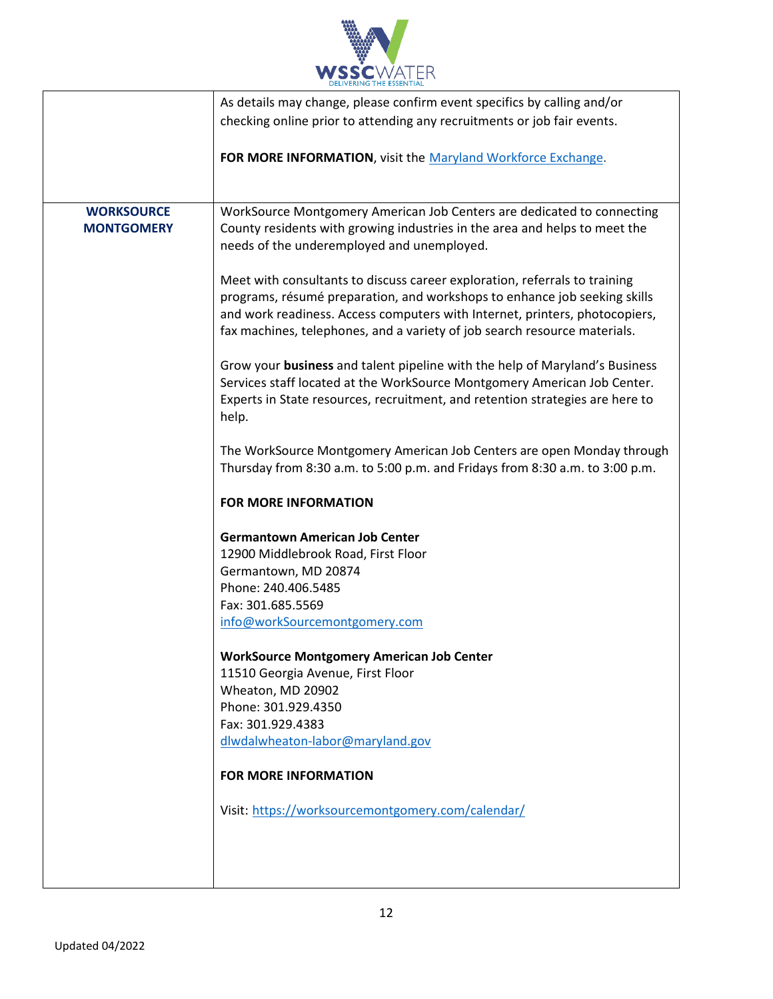

|                   | As details may change, please confirm event specifics by calling and/or       |
|-------------------|-------------------------------------------------------------------------------|
|                   | checking online prior to attending any recruitments or job fair events.       |
|                   |                                                                               |
|                   | FOR MORE INFORMATION, visit the Maryland Workforce Exchange.                  |
|                   |                                                                               |
|                   |                                                                               |
|                   |                                                                               |
| <b>WORKSOURCE</b> | WorkSource Montgomery American Job Centers are dedicated to connecting        |
| <b>MONTGOMERY</b> | County residents with growing industries in the area and helps to meet the    |
|                   | needs of the underemployed and unemployed.                                    |
|                   |                                                                               |
|                   | Meet with consultants to discuss career exploration, referrals to training    |
|                   | programs, résumé preparation, and workshops to enhance job seeking skills     |
|                   | and work readiness. Access computers with Internet, printers, photocopiers,   |
|                   | fax machines, telephones, and a variety of job search resource materials.     |
|                   |                                                                               |
|                   | Grow your business and talent pipeline with the help of Maryland's Business   |
|                   |                                                                               |
|                   | Services staff located at the WorkSource Montgomery American Job Center.      |
|                   | Experts in State resources, recruitment, and retention strategies are here to |
|                   | help.                                                                         |
|                   |                                                                               |
|                   | The WorkSource Montgomery American Job Centers are open Monday through        |
|                   | Thursday from 8:30 a.m. to 5:00 p.m. and Fridays from 8:30 a.m. to 3:00 p.m.  |
|                   |                                                                               |
|                   | <b>FOR MORE INFORMATION</b>                                                   |
|                   |                                                                               |
|                   | <b>Germantown American Job Center</b>                                         |
|                   | 12900 Middlebrook Road, First Floor                                           |
|                   | Germantown, MD 20874                                                          |
|                   | Phone: 240.406.5485                                                           |
|                   | Fax: 301.685.5569                                                             |
|                   |                                                                               |
|                   | info@workSourcemontgomery.com                                                 |
|                   |                                                                               |
|                   | <b>WorkSource Montgomery American Job Center</b>                              |
|                   | 11510 Georgia Avenue, First Floor                                             |
|                   | Wheaton, MD 20902                                                             |
|                   | Phone: 301.929.4350                                                           |
|                   | Fax: 301.929.4383                                                             |
|                   | dlwdalwheaton-labor@maryland.gov                                              |
|                   |                                                                               |
|                   | <b>FOR MORE INFORMATION</b>                                                   |
|                   |                                                                               |
|                   | Visit: https://worksourcemontgomery.com/calendar/                             |
|                   |                                                                               |
|                   |                                                                               |
|                   |                                                                               |
|                   |                                                                               |
|                   |                                                                               |